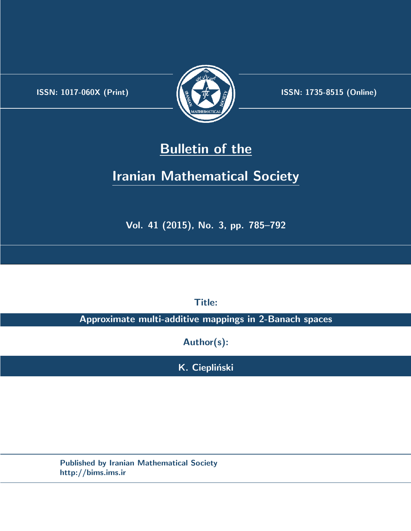.



**ISSN:** 1017-060X (Print)  $\left| \left( \frac{1}{2} \sum \frac{1}{k} \right) \right|$  **ISSN:** 1735-8515 (Online)

## **Bulletin of the**

# **Iranian Mathematical Society**

**Vol. 41 (2015), No. 3, pp. 785–792**

**Title:**

**Approximate multi-additive mappings in 2-Banach spaces**

**Author(s):**

**K.** Ciepliński

**Published by Iranian Mathematical Society http://bims.ims.ir**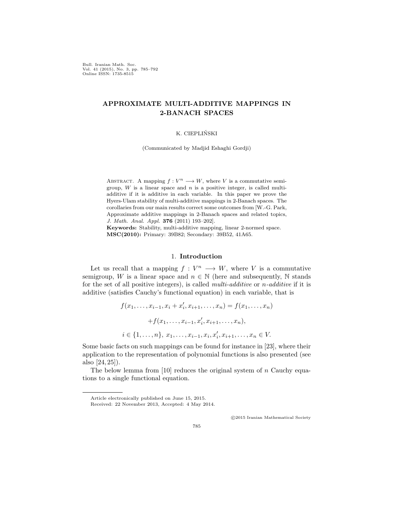Bull. Iranian Math. Soc. Vol. 41 (2015), No. 3, pp. 785–792 Online ISSN: 1735-8515

### **APPROXIMATE MULTI-ADDITIVE MAPPINGS IN 2-BANACH SPACES**

### K. CIEPLIŃSKI

(Communicated by Madjid Eshaghi Gordji)

ABSTRACT. A mapping  $f: V^n \longrightarrow W$ , where *V* is a commutative semigroup, *W* is a linear space and *n* is a positive integer, is called multiadditive if it is additive in each variable. In this paper we prove the Hyers-Ulam stability of multi-additive mappings in 2-Banach spaces. The corollaries from our main results correct some outcomes from [W.-G. Park, Approximate additive mappings in 2-Banach spaces and related topics, *J. Math. Anal. Appl.* **376** (2011) 193–202].

**Keywords:** Stability, multi-additive mapping, linear 2-normed space. **MSC(2010):** Primary: 39B82; Secondary: 39B52, 41A65.

#### 1. **Introduction**

Let us recall that a mapping  $f: V^n \longrightarrow W$ , where *V* is a commutative semigroup, *W* is a linear space and  $n \in \mathbb{N}$  (here and subsequently,  $\mathbb N$  stands for the set of all positive integers), is called *multi-additive* or *n-additive* if it is additive (satisfies Cauchy's functional equation) in each variable, that is

> $f(x_1, \ldots, x_{i-1}, x_i + x'_i, x_{i+1}, \ldots, x_n) = f(x_1, \ldots, x_n)$  $+f(x_1, \ldots, x_{i-1}, x'_i, x_{i+1}, \ldots, x_n),$  $i \in \{1, \ldots, n\}, x_1, \ldots, x_{i-1}, x_i, x'_i, x_{i+1}, \ldots, x_n \in V.$

Some basic facts on such mappings can be found for instance in [[23\]](#page-8-0), where their application to the representation of polynomial functions is also presented (see also [[24,](#page-8-1) [25\]](#page-8-2)).

The below lemma from [\[10](#page-7-0)] reduces the original system of *n* Cauchy equations to a single functional equation.

785

*⃝*c 2015 Iranian Mathematical Society

Article electronically published on June 15, 2015. Received: 22 November 2013, Accepted: 4 May 2014.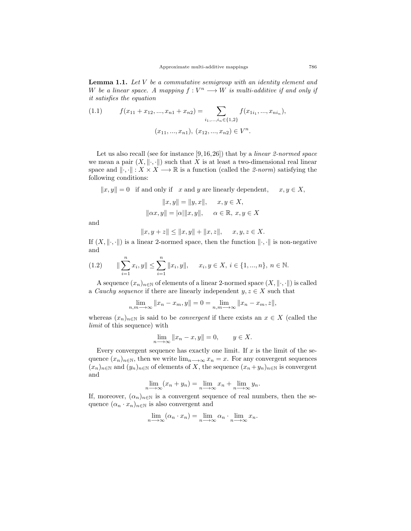**Lemma 1.1.** *Let V be a commutative semigroup with an identity element and W* be a linear space. A mapping  $f: V^n \longrightarrow W$  is multi-additive if and only if *it satisfies the equation*

<span id="page-2-0"></span>(1.1) 
$$
f(x_{11} + x_{12}, ..., x_{n1} + x_{n2}) = \sum_{i_1, ..., i_n \in \{1, 2\}} f(x_{1i_1}, ..., x_{ni_n}),
$$

$$
(x_{11}, ..., x_{n1}), (x_{12}, ..., x_{n2}) \in V^n.
$$

Let us also recall (see for instance [\[9](#page-7-1),[16](#page-8-3),[26\]](#page-8-4)) that by a *linear 2-normed space* we mean a pair  $(X, \|\cdot\|)$  such that X is at least a two-dimensional real linear space and  $\|\cdot\|$ :  $X \times X \longrightarrow \mathbb{R}$  is a function (called the *2-norm*) satisfying the following conditions:

 $||x, y|| = 0$  if and only if *x* and *y* are linearly dependent,  $x, y \in X$ ,

$$
||x, y|| = ||y, x||, \quad x, y \in X, ||\alpha x, y|| = |\alpha| ||x, y||, \quad \alpha \in \mathbb{R}, \ x, y \in X
$$

and

$$
||x, y + z|| \le ||x, y|| + ||x, z||, \quad x, y, z \in X.
$$

If  $(X, \| \cdot, \cdot \|)$  is a linear 2-normed space, then the function  $\| \cdot, \cdot \|$  is non-negative and

<span id="page-2-1"></span>
$$
(1.2) \qquad \|\sum_{i=1}^{n} x_i, y\| \le \sum_{i=1}^{n} \|x_i, y\|, \quad x_i, y \in X, \ i \in \{1, ..., n\}, \ n \in \mathbb{N}.
$$

A sequence  $(x_n)_{n\in\mathbb{N}}$  of elements of a linear 2-normed space  $(X, \|\cdot\|)$  is called a *Cauchy sequence* if there are linearly independent  $y, z \in X$  such that

$$
\lim_{n,m \to \infty} ||x_n - x_m, y|| = 0 = \lim_{n,m \to \infty} ||x_n - x_m, z||,
$$

whereas  $(x_n)_{n \in \mathbb{N}}$  is said to be *convergent* if there exists an  $x \in X$  (called the *limit* of this sequence) with

$$
\lim_{n \to \infty} ||x_n - x, y|| = 0, \qquad y \in X.
$$

Every convergent sequence has exactly one limit. If  $x$  is the limit of the sequence  $(x_n)_{n \in \mathbb{N}}$ , then we write  $\lim_{n \to \infty} x_n = x$ . For any convergent sequences  $(x_n)_{n\in\mathbb{N}}$  and  $(y_n)_{n\in\mathbb{N}}$  of elements of *X*, the sequence  $(x_n+y_n)_{n\in\mathbb{N}}$  is convergent and

$$
\lim_{n \to \infty} (x_n + y_n) = \lim_{n \to \infty} x_n + \lim_{n \to \infty} y_n.
$$

If, moreover,  $(\alpha_n)_{n\in\mathbb{N}}$  is a convergent sequence of real numbers, then the sequence  $(\alpha_n \cdot x_n)_{n \in \mathbb{N}}$  is also convergent and

$$
\lim_{n \to \infty} (\alpha_n \cdot x_n) = \lim_{n \to \infty} \alpha_n \cdot \lim_{n \to \infty} x_n.
$$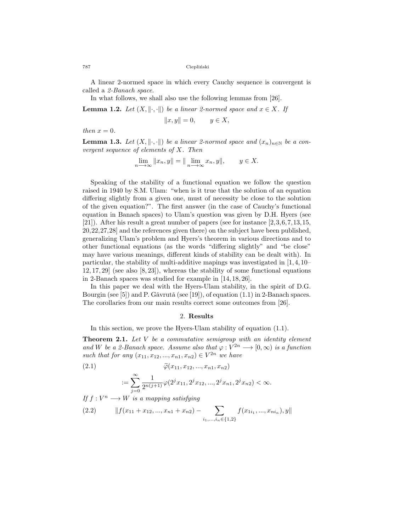787 Ciepliński

A linear 2-normed space in which every Cauchy sequence is convergent is called a *2-Banach space*.

In what follows, we shall also use the following lemmas from [[26\]](#page-8-4).

<span id="page-3-3"></span>**Lemma 1.2.** *Let*  $(X, \| \cdot, \cdot \|)$  *be a linear 2-normed space and*  $x \in X$ *. If* 

$$
||x, y|| = 0, \qquad y \in X,
$$

*then*  $x = 0$ *.* 

<span id="page-3-2"></span>**Lemma 1.3.** *Let*  $(X, \|\cdot\|)$  *be a linear 2-normed space and*  $(x_n)_{n \in \mathbb{N}}$  *be a convergent sequence of elements of X. Then*

$$
\lim_{n \to \infty} ||x_n, y|| = ||\lim_{n \to \infty} x_n, y||, \qquad y \in X.
$$

Speaking of the stability of a functional equation we follow the question raised in 1940 by S.M. Ulam: "when is it true that the solution of an equation differing slightly from a given one, must of necessity be close to the solution of the given equation?". The first answer (in the case of Cauchy's functional equation in Banach spaces) to Ulam's question was given by D.H. Hyers (see [[21\]](#page-8-5)). After his result a great number of papers (see for instance [[2,](#page-7-2)[3](#page-7-3),[6,](#page-7-4)[7](#page-7-5),[13,](#page-8-6)[15](#page-8-7), [20,](#page-8-8)[22](#page-8-9),[27](#page-8-10),[28\]](#page-8-11) and the references given there) on the subject have been published, generalizing Ulam's problem and Hyers's theorem in various directions and to other functional equations (as the words "differing slightly" and "be close" may have various meanings, different kinds of stability can be dealt with). In particular, the stability of multi-additive mapings was investigated in [\[1](#page-7-6),[4](#page-7-7),[10](#page-7-0)– [12,](#page-7-8) [17](#page-8-12), [29](#page-8-13)] (see also [\[8](#page-7-9), [23](#page-8-0)]), whereas the stability of some functional equations in 2-Banach spaces was studied for example in [[14,](#page-8-14) [18,](#page-8-15) [26\]](#page-8-4).

In this paper we deal with the Hyers-Ulam stability, in the spirit of D.G. Bourgin (see [[5\]](#page-7-10)) and P. Gǎvrutǎ (see [\[19](#page-8-16)]), of equation  $(1.1)$  $(1.1)$  in 2-Banach spaces. The corollaries from our main results correct some outcomes from [[26\]](#page-8-4).

#### 2. **Results**

In this section, we prove the Hyers-Ulam stability of equation ([1.1\)](#page-2-0).

**Theorem 2.1.** *Let V be a commutative semigroup with an identity element and W be a 2-Banach space. Assume also that*  $\varphi : V^{2n} \longrightarrow [0, \infty)$  *is a function such that for any*  $(x_{11}, x_{12}, ..., x_{n1}, x_{n2}) \in V^{2n}$  *we have* 

 $\widetilde{\varphi}(x_{11}, x_{12}, ..., x_{n1}, x_{n2})$ 

<span id="page-3-1"></span><span id="page-3-0"></span>
$$
:=\sum_{j=0}^\infty\frac{1}{2^{n(j+1)}}\varphi(2^jx_{11},2^jx_{12},...,2^jx_{n1},2^jx_{n2})<\infty.
$$

*If*  $f: V^n \longrightarrow W$  *is a mapping satisfying* 

(2.2) 
$$
|| f(x_{11} + x_{12}, ..., x_{n1} + x_{n2}) - \sum_{i_1, ..., i_n \in \{1, 2\}} f(x_{1i_1}, ..., x_{ni_n}), y||
$$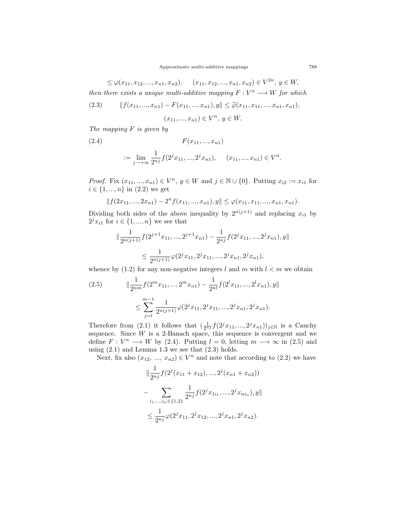$\leq \varphi(x_{11}, x_{12}, \ldots, x_{n1}, x_{n2}), \quad (x_{11}, x_{12}, \ldots, x_{n1}, x_{n2}) \in V^{2n}, y \in W$ *then there exists a unique multi-additive mapping*  $F: V^n \longrightarrow W$  *for which* 

<span id="page-4-2"></span>(2.3) 
$$
|| f(x_{11},...,x_{n1}) - F(x_{11},...,x_{n1}),y|| \leq \tilde{\varphi}(x_{11},x_{11},...,x_{n1},x_{n1}),
$$

<span id="page-4-0"></span> $(x_{11},...,x_{n1}) \in V^n, y \in W.$ 

*The mapping F is given by*

(2.4) 
$$
F(x_{11},...,x_{n1})
$$

$$
:= \lim_{j \to \infty} \frac{1}{2^{nj}} f(2^{j}x_{11},...,2^{j}x_{n1}), \quad (x_{11},...,x_{n1}) \in V^{n}.
$$

*Proof.* Fix  $(x_{11},...,x_{n1}) \in V^n$ ,  $y \in W$  and  $j \in \mathbb{N} \cup \{0\}$ . Putting  $x_{i2} := x_{i1}$  for *i* ∈ {1, ..., *n*} in ([2.2](#page-3-0)) we get

$$
|| f(2x_{11},...,2x_{n1}) - 2n f(x_{11},...,x_{n1}),y|| \leq \varphi(x_{11},x_{11},...,x_{n1},x_{n1}).
$$

Dividing both sides of the above inequality by  $2^{n(j+1)}$  and replacing  $x_{i1}$  by 2<sup>*j*</sup>*x*<sub>*i*</sub><sub>1</sub> for *i*  $\in$  {1, ..., *n*} we see that

$$
\begin{aligned} \|\frac{1}{2^{n(j+1)}}f(2^{j+1}x_{11},...,2^{j+1}x_{n1})-\frac{1}{2^{nj}}f(2^jx_{11},...,2^jx_{n1}),y\|\\ &\leq \frac{1}{2^{n(j+1)}}\varphi(2^jx_{11},2^jx_{11},...,2^jx_{n1},2^jx_{n1}), \end{aligned}
$$

whence by  $(1.2)$  $(1.2)$  for any non-negative integers *l* and *m* with  $l < m$  we obtain

<span id="page-4-1"></span>(2.5) 
$$
\|\frac{1}{2^{nm}}f(2^m x_{11}, ..., 2^m x_{n1}) - \frac{1}{2^{nl}}f(2^l x_{11}, ..., 2^l x_{n1}), y\|
$$

$$
\leq \sum_{j=l}^{m-1} \frac{1}{2^{n(j+1)}} \varphi(2^j x_{11}, 2^j x_{11}, ..., 2^j x_{n1}, 2^j x_{n1}).
$$

Therefore from ([2.1\)](#page-3-1) it follows that  $(\frac{1}{2^{nj}}f(2^jx_{11},...,2^jx_{n1}))_{j\in\mathbb{N}}$  is a Cauchy sequence. Since  $W$  is a 2-Banach space, this sequence is convergent and we define  $F: V^n \longrightarrow W$  by [\(2.4\)](#page-4-0). Putting  $l = 0$ , letting  $m \longrightarrow \infty$  in ([2.5](#page-4-1)) and using  $(2.1)$  and Lemma [1.3](#page-3-2) we see that  $(2.3)$  $(2.3)$  holds.

Next, fix also  $(x_{12}, ..., x_{n2}) \in V^n$  and note that according to  $(2.2)$  $(2.2)$  we have

$$
\|\frac{1}{2^{nj}}f(2^j(x_{11}+x_{12}),...,2^j(x_{n1}+x_{n2}))
$$
  

$$
-\sum_{i_1,...,i_n\in\{1,2\}}\frac{1}{2^{nj}}f(2^jx_{1i_1},...,2^jx_{ni_n}),y\|
$$
  

$$
\leq \frac{1}{2^{nj}}\varphi(2^jx_{11},2^jx_{12},...,2^jx_{n1},2^jx_{n2}).
$$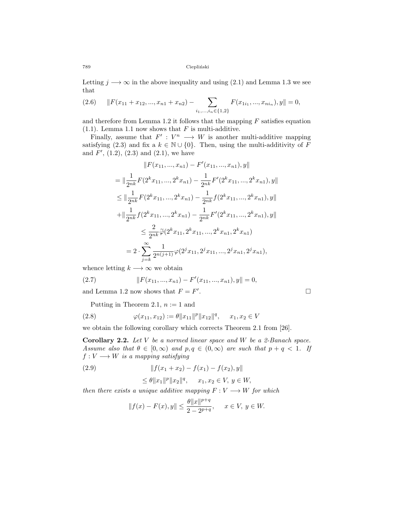789 Ciepliński

Letting  $j \rightarrow \infty$  in the above inequality and using ([2.1\)](#page-3-1) and Lemma [1.3](#page-3-2) we see that

<span id="page-5-0"></span>
$$
(2.6) \t || F(x_{11} + x_{12}, ..., x_{n1} + x_{n2}) - \sum_{i_1, ..., i_n \in \{1, 2\}} F(x_{1i_1}, ..., x_{ni_n}), y || = 0,
$$

and therefore from Lemma [1.2](#page-3-3) it follows that the mapping *F* satisfies equation  $(1.1)$  $(1.1)$ . Lemma [1.1](#page-2-0) now shows that *F* is multi-additive.

Finally, assume that  $F' : V^n \longrightarrow W$  is another multi-additive mapping satisfying ([2.3\)](#page-4-2) and fix a  $k \in \mathbb{N} \cup \{0\}$ . Then, using the multi-additivity of *F* and  $F'$ ,  $(1.2)$  $(1.2)$ ,  $(2.3)$  $(2.3)$  $(2.3)$  and  $(2.1)$  $(2.1)$  $(2.1)$ , we have

$$
||F(x_{11},...,x_{n1}) - F'(x_{11},...,x_{n1}),y||
$$
  
\n
$$
= ||\frac{1}{2^{nk}}F(2^{k}x_{11},...,2^{k}x_{n1}) - \frac{1}{2^{nk}}F'(2^{k}x_{11},...,2^{k}x_{n1}),y||
$$
  
\n
$$
\leq ||\frac{1}{2^{nk}}F(2^{k}x_{11},...,2^{k}x_{n1}) - \frac{1}{2^{nk}}f(2^{k}x_{11},...,2^{k}x_{n1}),y||
$$
  
\n
$$
+ ||\frac{1}{2^{nk}}f(2^{k}x_{11},...,2^{k}x_{n1}) - \frac{1}{2^{nk}}F'(2^{k}x_{11},...,2^{k}x_{n1}),y||
$$
  
\n
$$
\leq \frac{2}{2^{nk}}\widetilde{\varphi}(2^{k}x_{11},2^{k}x_{11},...,2^{k}x_{n1},2^{k}x_{n1})
$$
  
\n
$$
= 2 \cdot \sum_{j=k}^{\infty} \frac{1}{2^{n(j+1)}}\varphi(2^{j}x_{11},2^{j}x_{11},...,2^{j}x_{n1},2^{j}x_{n1}),
$$

whence letting  $k \longrightarrow \infty$  we obtain

<span id="page-5-1"></span>(2.7) 
$$
||F(x_{11},...,x_{n1}) - F'(x_{11},...,x_{n1}),y|| = 0,
$$

and Lemma [1.2](#page-3-3) now shows that  $F = F'$ 

<span id="page-5-2"></span>Putting in Theorem [2.1](#page-4-0),  $n := 1$  and

(2.8) 
$$
\varphi(x_{11}, x_{12}) := \theta \|x_{11}\|^p \|x_{12}\|^q, \quad x_1, x_2 \in V
$$

we obtain the following corollary which corrects Theorem 2.1 from [\[26](#page-8-4)].

**Corollary 2.2.** *Let V be a normed linear space and W be a 2-Banach space. Assume also that*  $\theta \in [0, \infty)$  *and*  $p, q \in (0, \infty)$  *are such that*  $p + q < 1$ *. If f* : *V −→ W is a mapping satisfying*

(2.9) 
$$
|| f(x_1 + x_2) - f(x_1) - f(x_2), y ||
$$

<span id="page-5-3"></span>
$$
\leq \theta \|x_1\|^p \|x_2\|^q, \quad x_1, x_2 \in V, \ y \in W,
$$

*then there exists a unique additive mapping*  $F: V \longrightarrow W$  *for which* 

$$
||f(x) - F(x), y|| \le \frac{\theta ||x||^{p+q}}{2 - 2^{p+q}}, \quad x \in V, y \in W.
$$

. □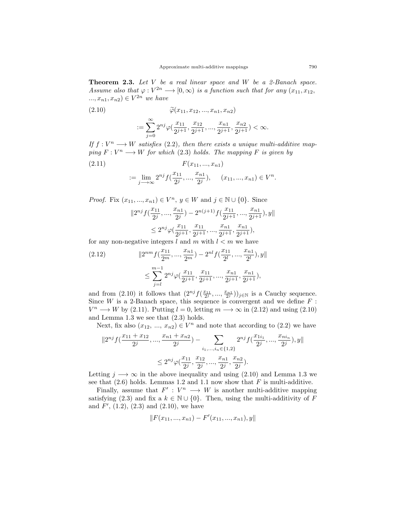**Theorem 2.3.** *Let V be a real linear space and W be a 2-Banach space. Assume also that*  $\varphi: V^{2n} \longrightarrow [0, \infty)$  *is a function such that for any*  $(x_{11}, x_{12},$  *<i>we have* 

<span id="page-6-0"></span>(2.10)  

$$
\widetilde{\varphi}(x_{11}, x_{12}, ..., x_{n1}, x_{n2})
$$

$$
:= \sum_{j=0}^{\infty} 2^{nj} \varphi(\frac{x_{11}}{2^{j+1}}, \frac{x_{12}}{2^{j+1}}, ..., \frac{x_{n1}}{2^{j+1}}, \frac{x_{n2}}{2^{j+1}}) < \infty.
$$

*If*  $f: V^n \longrightarrow W$  *satisfies* ([2.2](#page-3-0))*, then there exists a unique multi-additive map* $ping F: V^n \longrightarrow W$  *for which* [\(2.3\)](#page-4-2) *holds. The mapping*  $F$  *is given by* 

(2.11) 
$$
F(x_{11}, ..., x_{n1})
$$

$$
:= \lim_{j \to \infty} 2^{nj} f(\frac{x_{11}}{2^j}, ..., \frac{x_{n1}}{2^j}), \quad (x_{11}, ..., x_{n1}) \in V^n
$$

*Proof.* Fix  $(x_{11},...,x_{n1}) \in V^n$ ,  $y \in W$  and  $j \in \mathbb{N} \cup \{0\}$ . Since

<span id="page-6-2"></span><span id="page-6-1"></span>
$$
\begin{aligned}\|2^{nj}f(\frac{x_{11}}{2^j},...,\frac{x_{n1}}{2^j})-2^{n(j+1)}f(\frac{x_{11}}{2^{j+1}},...,\frac{x_{n1}}{2^{j+1}}),y\|\\&\leq 2^{nj}\varphi(\frac{x_{11}}{2^{j+1}},\frac{x_{11}}{2^{j+1}},...,\frac{x_{n1}}{2^{j+1}},\frac{x_{n1}}{2^{j+1}}),\end{aligned}
$$

for any non-negative integers  $l$  and  $m$  with  $l < m$  we have

(2.12) 
$$
||2^{nm} f(\frac{x_{11}}{2^m}, ..., \frac{x_{n1}}{2^m}) - 2^{nl} f(\frac{x_{11}}{2^l}, ..., \frac{x_{n1}}{2^l}), y||
$$

$$
\leq \sum_{j=l}^{m-1} 2^{nj} \varphi(\frac{x_{11}}{2^{j+1}}, \frac{x_{11}}{2^{j+1}}, ..., \frac{x_{n1}}{2^{j+1}}, \frac{x_{n1}}{2^{j+1}}),
$$

and from ([2.10](#page-6-0)) it follows that  $(2^{nj} f(\frac{x_{11}}{2^j}, ..., \frac{x_{n1}}{2^j}))_{j \in \mathbb{N}}$  is a Cauchy sequence. Since  $W$  is a 2-Banach space, this sequence is convergent and we define  $F$ :  $V^n \longrightarrow W$  by ([2.11\)](#page-6-1). Putting  $l = 0$ , letting  $m \longrightarrow \infty$  in [\(2.12\)](#page-6-2) and using ([2.10](#page-6-0)) and Lemma [1.3](#page-3-2) we see that [\(2.3](#page-4-2)) holds.

Next, fix also  $(x_{12}, ..., x_{n2}) \in V^n$  and note that according to  $(2.2)$  $(2.2)$  we have

$$
\begin{aligned} \|2^{nj}f(\frac{x_{11}+x_{12}}{2^j},...,\frac{x_{n1}+x_{n2}}{2^j}) - \sum_{i_1,...,i_n\in\{1,2\}} 2^{nj}f(\frac{x_{1i_1}}{2^j},...,\frac{x_{ni_n}}{2^j}),y\| \\ &\le 2^{nj}\varphi(\frac{x_{11}}{2^j},\frac{x_{12}}{2^j},...,\frac{x_{n1}}{2^j},\frac{x_{n2}}{2^j}). \end{aligned}
$$

Letting  $j \rightarrow \infty$  in the above inequality and using ([2.10](#page-6-0)) and Lemma [1.3](#page-3-2) we see that  $(2.6)$  $(2.6)$  $(2.6)$  holds. Lemmas [1.2](#page-3-3) and [1.1](#page-2-0) now show that  $F$  is multi-additive.

Finally, assume that  $F' : V^n \longrightarrow W$  is another multi-additive mapping satisfying ([2.3\)](#page-4-2) and fix a  $k \in \mathbb{N} \cup \{0\}$ . Then, using the multi-additivity of *F* and *F ′* , ([1.2\)](#page-2-1), ([2.3](#page-4-2)) and ([2.10](#page-6-0)), we have

$$
||F(x_{11},...,x_{n1}) - F'(x_{11},...,x_{n1}),y||
$$

*.*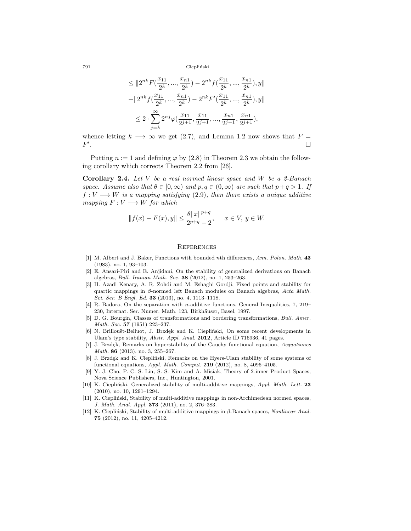791 Ciepliński

$$
\leq \|2^{nk} F(\frac{x_{11}}{2^k},...,\frac{x_{n1}}{2^k}) - 2^{nk} f(\frac{x_{11}}{2^k},...,\frac{x_{n1}}{2^k}), y\| + \|2^{nk} f(\frac{x_{11}}{2^k},...,\frac{x_{n1}}{2^k}) - 2^{nk} F'(\frac{x_{11}}{2^k},...,\frac{x_{n1}}{2^k}), y\| \leq 2 \cdot \sum_{j=k}^{\infty} 2^{nj} \varphi(\frac{x_{11}}{2^{j+1}},\frac{x_{11}}{2^{j+1}},...,\frac{x_{n1}}{2^{j+1}},\frac{x_{n1}}{2^{j+1}}),
$$

whence letting  $k \longrightarrow \infty$  we get [\(2.7](#page-5-1)), and Lemma [1.2](#page-3-3) now shows that  $F =$ *F ′* . □

Putting  $n := 1$  and defining  $\varphi$  by [\(2.8](#page-5-2)) in Theorem [2.3](#page-6-1) we obtain the following corollary which corrects Theorem 2.2 from [[26](#page-8-4)].

**Corollary 2.4.** *Let V be a real normed linear space and W be a 2-Banach space. Assume also that*  $\theta \in [0, \infty)$  *and*  $p, q \in (0, \infty)$  *are such that*  $p + q > 1$ *. If*  $f: V \longrightarrow W$  *is a mapping satisfying* ([2.9](#page-5-3))*, then there exists a unique additive mapping*  $F: V \longrightarrow W$  *for which* 

$$
||f(x) - F(x), y|| \le \frac{\theta ||x||^{p+q}}{2^{p+q} - 2}, \quad x \in V, y \in W.
$$

#### **REFERENCES**

- <span id="page-7-6"></span>[1] M. Albert and J. Baker, Functions with bounded *n*th differences, *Ann. Polon. Math.* **43** (1983), no. 1, 93–103.
- <span id="page-7-2"></span>[2] E. Ansari-Piri and E. Anjidani, On the stability of generalized derivations on Banach algebras, *Bull. Iranian Math. Soc.* **38** (2012), no. 1, 253–263.
- <span id="page-7-3"></span>[3] H. Azadi Kenary, A. R. Zohdi and M. Eshaghi Gordji, Fixed points and stability for quartic mappings in *β*-normed left Banach modules on Banach algebras, *Acta Math. Sci. Ser. B Engl. Ed.* **33** (2013), no. 4, 1113–1118.
- <span id="page-7-7"></span>[4] R. Badora, On the separation with *n*-additive functions, General Inequalities, 7, 219– 230, Internat. Ser. Numer. Math. 123, Birkhäuser, Basel, 1997.
- <span id="page-7-10"></span>[5] D. G. Bourgin, Classes of transformations and bordering transformations, *Bull. Amer. Math. Soc.* **57** (1951) 223–237.
- <span id="page-7-4"></span>[6] N. Brillouët-Belluot, J. Brzdek and K. Ciepliński, On some recent developments in Ulam's type stability, *Abstr. Appl. Anal.* **2012**, Article ID 716936, 41 pages.
- <span id="page-7-5"></span>[7] J. Brzdęk, Remarks on hyperstability of the Cauchy functional equation, *Aequationes Math.* **86** (2013), no. 3, 255–267.
- <span id="page-7-9"></span>[8] J. Brzdęk and K. Ciepliński, Remarks on the Hyers-Ulam stability of some systems of functional equations, *Appl. Math. Comput.* **219** (2012), no. 8, 4096–4105.
- <span id="page-7-1"></span>[9] Y. J. Cho, P. C. S. Lin, S. S. Kim and A. Misiak, Theory of 2-inner Product Spaces, Nova Science Publishers, Inc., Huntington, 2001.
- <span id="page-7-0"></span>[10] K. Ciepliński, Generalized stability of multi-additive mappings, *Appl. Math. Lett.* 23 (2010), no. 10, 1291–1294.
- [11] K. Ciepliński, Stability of multi-additive mappings in non-Archimedean normed spaces, *J. Math. Anal. Appl.* **373** (2011), no. 2, 376–383.
- <span id="page-7-8"></span>[12] K. Ciepliński, Stability of multi-additive mappings in *β*-Banach spaces, *Nonlinear Anal.* **75** (2012), no. 11, 4205–4212.